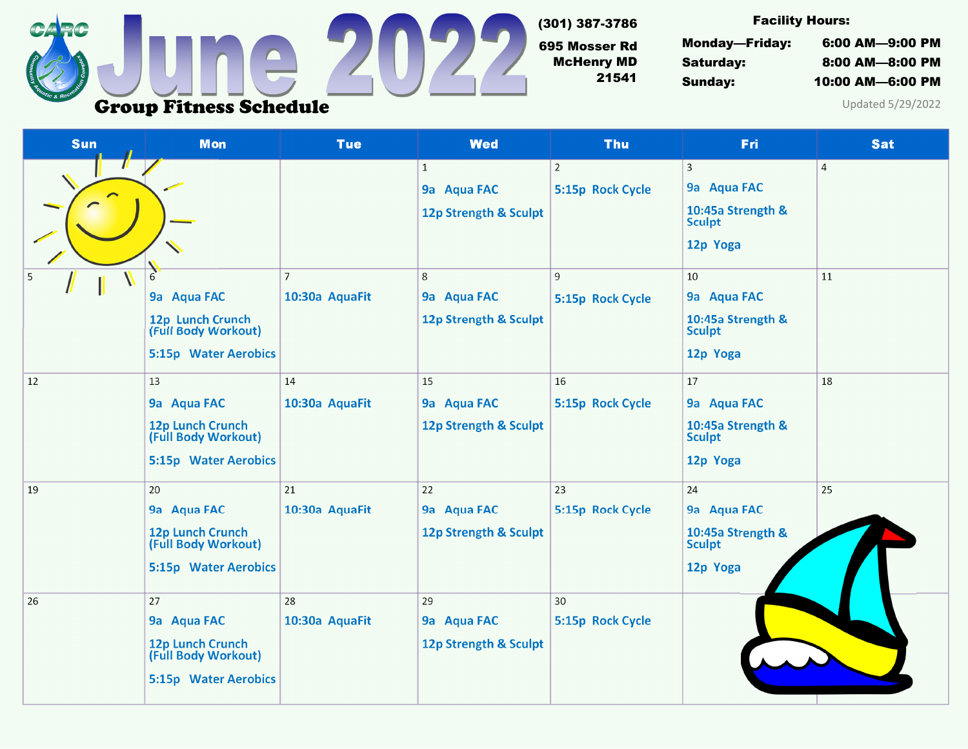

(301) 387-3786

695 Mosser Rd McHenry MD 21541

Facility Hours:

Monday—Friday: 6:00 AM—9:00 PM Saturday: 8:00 AM—8:00 PM Sunday: 10:00 AM—6:00 PM

Updated 5/29/2022

| Sun    | <b>Mon</b>                                                                                                   | <b>Tue</b>                       | <b>Wed</b>                                                                                              | <b>Thu</b>                                                  | Fri                                                                                                                           | <b>Sat</b>           |
|--------|--------------------------------------------------------------------------------------------------------------|----------------------------------|---------------------------------------------------------------------------------------------------------|-------------------------------------------------------------|-------------------------------------------------------------------------------------------------------------------------------|----------------------|
| 5<br>Ш | h<br>9a Aqua FAC<br>12p Lunch Crunch<br>(Full Body Workout)                                                  | $\overline{7}$<br>10:30a AquaFit | $\mathbf{1}$<br>9a Aqua FAC<br>12p Strength & Sculpt<br>$\,8\,$<br>9a Aqua FAC<br>12p Strength & Sculpt | $\overline{2}$<br>5:15p Rock Cycle<br>9<br>5:15p Rock Cycle | 3<br>9a Aqua FAC<br>10:45a Strength &<br><b>Sculpt</b><br>12p Yoga<br>10<br>9a Aqua FAC<br>10:45a Strength &<br><b>Sculpt</b> | $\overline{4}$<br>11 |
| 12     | 5:15p Water Aerobics<br>13<br>9a Aqua FAC<br>12p Lunch Crunch<br>(Full Body Workout)<br>5:15p Water Aerobics | 14<br>10:30a AquaFit             | 15<br>9a Aqua FAC<br>12p Strength & Sculpt                                                              | 16<br>5:15p Rock Cycle                                      | 12p Yoga<br>17<br>9a Aqua FAC<br>10:45a Strength &<br><b>Sculpt</b><br>12p Yoga                                               | 18                   |
| 19     | 20<br>9a Aqua FAC<br>12p Lunch Crunch<br>(Full Body Workout)<br><b>5:15p Water Aerobics</b>                  | 21<br>10:30a AquaFit             | 22<br>9a Aqua FAC<br>12p Strength & Sculpt                                                              | 23<br>5:15p Rock Cycle                                      | 24<br>9a Aqua FAC<br>10:45a Strength &<br><b>Sculpt</b><br>12p Yoga                                                           | 25                   |
| 26     | 27<br>9a Aqua FAC<br>12p Lunch Crunch<br>(Full Body Workout)<br>5:15p Water Aerobics                         | 28<br>10:30a AquaFit             | 29<br>9a Aqua FAC<br>12p Strength & Sculpt                                                              | 30<br>5:15p Rock Cycle                                      |                                                                                                                               |                      |